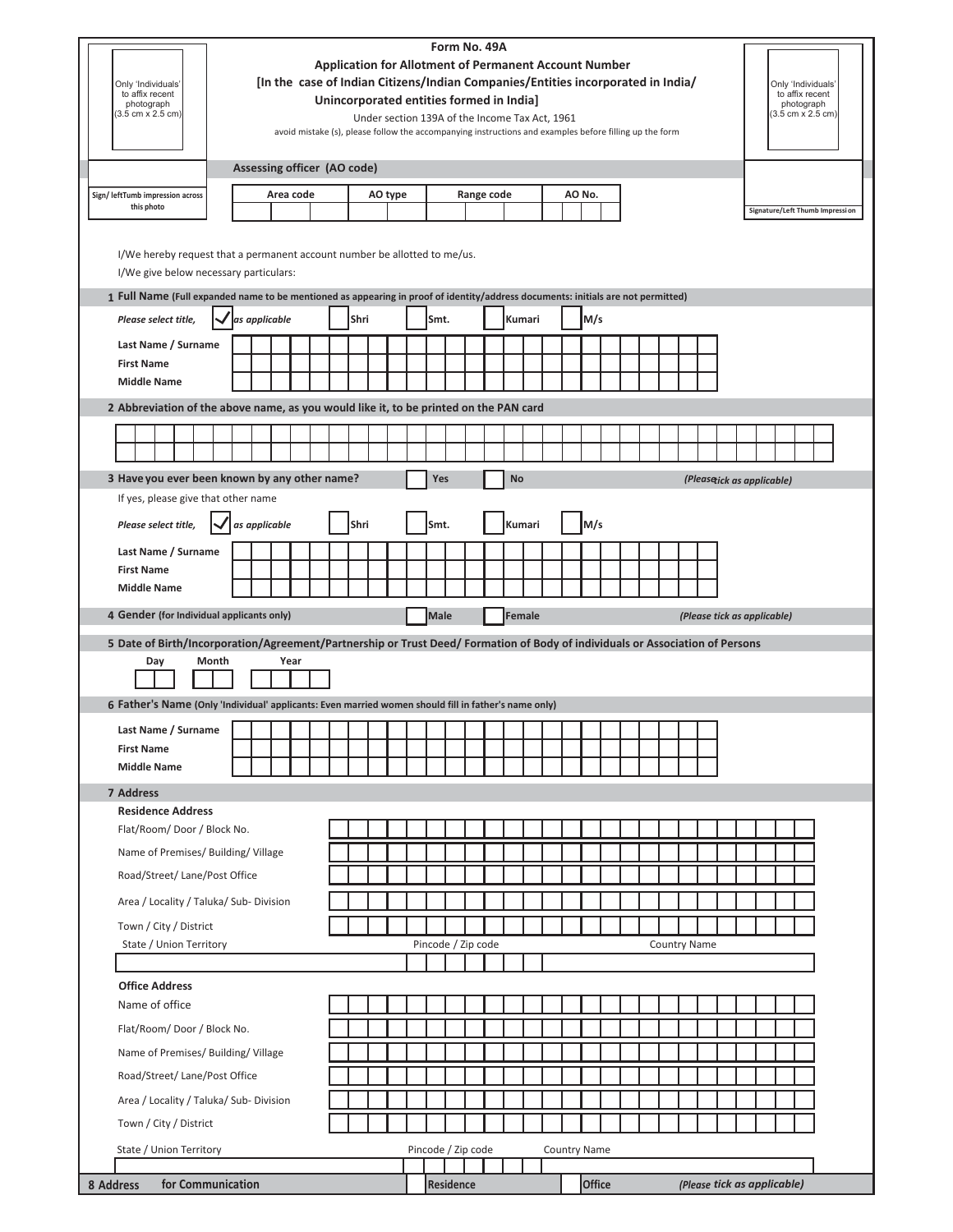| Only 'Individuals'<br>to affix recent<br>photograph<br>$(3.5 \text{ cm} \times 2.5 \text{ cm})$                                               | Form No. 49A<br><b>Application for Allotment of Permanent Account Number</b><br>[In the case of Indian Citizens/Indian Companies/Entities incorporated in India/<br>Only 'Individuals'<br>to affix recent<br>Unincorporated entities formed in India]<br>photograph<br>$(3.5 \text{ cm} \times 2.5 \text{ cm})$<br>Under section 139A of the Income Tax Act, 1961<br>avoid mistake (s), please follow the accompanying instructions and examples before filling up the form |  |  |               |                             |  |         |      |  |  |                    |                    |  |  |            |           |        |        |                     |  |                     |  |  |  |  |  |  |                                 |                             |  |  |  |  |  |
|-----------------------------------------------------------------------------------------------------------------------------------------------|-----------------------------------------------------------------------------------------------------------------------------------------------------------------------------------------------------------------------------------------------------------------------------------------------------------------------------------------------------------------------------------------------------------------------------------------------------------------------------|--|--|---------------|-----------------------------|--|---------|------|--|--|--------------------|--------------------|--|--|------------|-----------|--------|--------|---------------------|--|---------------------|--|--|--|--|--|--|---------------------------------|-----------------------------|--|--|--|--|--|
|                                                                                                                                               |                                                                                                                                                                                                                                                                                                                                                                                                                                                                             |  |  |               | Assessing officer (AO code) |  |         |      |  |  |                    |                    |  |  |            |           |        |        |                     |  |                     |  |  |  |  |  |  |                                 |                             |  |  |  |  |  |
| Sign/ leftTumb impression across                                                                                                              |                                                                                                                                                                                                                                                                                                                                                                                                                                                                             |  |  |               | Area code                   |  | AO type |      |  |  |                    |                    |  |  | Range code |           |        | AO No. |                     |  |                     |  |  |  |  |  |  |                                 |                             |  |  |  |  |  |
| this photo                                                                                                                                    |                                                                                                                                                                                                                                                                                                                                                                                                                                                                             |  |  |               |                             |  |         |      |  |  |                    |                    |  |  |            |           |        |        |                     |  |                     |  |  |  |  |  |  | Signature/Left Thumb Impression |                             |  |  |  |  |  |
| I/We hereby request that a permanent account number be allotted to me/us.<br>I/We give below necessary particulars:                           |                                                                                                                                                                                                                                                                                                                                                                                                                                                                             |  |  |               |                             |  |         |      |  |  |                    |                    |  |  |            |           |        |        |                     |  |                     |  |  |  |  |  |  |                                 |                             |  |  |  |  |  |
| 1 Full Name (Full expanded name to be mentioned as appearing in proof of identity/address documents: initials are not permitted)              |                                                                                                                                                                                                                                                                                                                                                                                                                                                                             |  |  |               |                             |  |         |      |  |  |                    |                    |  |  |            |           |        |        |                     |  |                     |  |  |  |  |  |  |                                 |                             |  |  |  |  |  |
| Please select title,                                                                                                                          |                                                                                                                                                                                                                                                                                                                                                                                                                                                                             |  |  | as applicable |                             |  |         | Shri |  |  | Smt.               |                    |  |  |            |           | Kumari |        |                     |  |                     |  |  |  |  |  |  |                                 |                             |  |  |  |  |  |
| Last Name / Surname                                                                                                                           |                                                                                                                                                                                                                                                                                                                                                                                                                                                                             |  |  |               |                             |  |         |      |  |  |                    |                    |  |  |            |           |        |        |                     |  |                     |  |  |  |  |  |  |                                 |                             |  |  |  |  |  |
| <b>First Name</b>                                                                                                                             |                                                                                                                                                                                                                                                                                                                                                                                                                                                                             |  |  |               |                             |  |         |      |  |  |                    |                    |  |  |            |           |        |        |                     |  |                     |  |  |  |  |  |  |                                 |                             |  |  |  |  |  |
| <b>Middle Name</b>                                                                                                                            |                                                                                                                                                                                                                                                                                                                                                                                                                                                                             |  |  |               |                             |  |         |      |  |  |                    |                    |  |  |            |           |        |        |                     |  |                     |  |  |  |  |  |  |                                 |                             |  |  |  |  |  |
| 2 Abbreviation of the above name, as you would like it, to be printed on the PAN card                                                         |                                                                                                                                                                                                                                                                                                                                                                                                                                                                             |  |  |               |                             |  |         |      |  |  |                    |                    |  |  |            |           |        |        |                     |  |                     |  |  |  |  |  |  |                                 |                             |  |  |  |  |  |
|                                                                                                                                               |                                                                                                                                                                                                                                                                                                                                                                                                                                                                             |  |  |               |                             |  |         |      |  |  |                    |                    |  |  |            |           |        |        |                     |  |                     |  |  |  |  |  |  |                                 |                             |  |  |  |  |  |
|                                                                                                                                               |                                                                                                                                                                                                                                                                                                                                                                                                                                                                             |  |  |               |                             |  |         |      |  |  |                    |                    |  |  |            |           |        |        |                     |  |                     |  |  |  |  |  |  |                                 |                             |  |  |  |  |  |
| 3 Have you ever been known by any other name?                                                                                                 |                                                                                                                                                                                                                                                                                                                                                                                                                                                                             |  |  |               |                             |  |         |      |  |  |                    | Yes                |  |  |            | <b>No</b> |        |        |                     |  |                     |  |  |  |  |  |  |                                 | (Pleasetick as applicable)  |  |  |  |  |  |
| If yes, please give that other name                                                                                                           |                                                                                                                                                                                                                                                                                                                                                                                                                                                                             |  |  |               |                             |  |         |      |  |  |                    |                    |  |  |            |           |        |        |                     |  |                     |  |  |  |  |  |  |                                 |                             |  |  |  |  |  |
| Please select title,                                                                                                                          | as applicable                                                                                                                                                                                                                                                                                                                                                                                                                                                               |  |  | Shri          |                             |  |         | Smt. |  |  |                    | Kumari             |  |  |            | M/s       |        |        |                     |  |                     |  |  |  |  |  |  |                                 |                             |  |  |  |  |  |
| Last Name / Surname<br><b>First Name</b>                                                                                                      |                                                                                                                                                                                                                                                                                                                                                                                                                                                                             |  |  |               |                             |  |         |      |  |  |                    |                    |  |  |            |           |        |        |                     |  |                     |  |  |  |  |  |  |                                 |                             |  |  |  |  |  |
| <b>Middle Name</b>                                                                                                                            |                                                                                                                                                                                                                                                                                                                                                                                                                                                                             |  |  |               |                             |  |         |      |  |  |                    |                    |  |  |            |           |        |        |                     |  |                     |  |  |  |  |  |  |                                 |                             |  |  |  |  |  |
| 4 Gender (for Individual applicants only)                                                                                                     |                                                                                                                                                                                                                                                                                                                                                                                                                                                                             |  |  |               |                             |  |         |      |  |  |                    | <b>Male</b>        |  |  |            |           | Female |        |                     |  |                     |  |  |  |  |  |  |                                 | (Please tick as applicable) |  |  |  |  |  |
|                                                                                                                                               |                                                                                                                                                                                                                                                                                                                                                                                                                                                                             |  |  |               |                             |  |         |      |  |  |                    |                    |  |  |            |           |        |        |                     |  |                     |  |  |  |  |  |  |                                 |                             |  |  |  |  |  |
| 5 Date of Birth/Incorporation/Agreement/Partnership or Trust Deed/ Formation of Body of individuals or Association of Persons<br>Day<br>Month |                                                                                                                                                                                                                                                                                                                                                                                                                                                                             |  |  |               | Year                        |  |         |      |  |  |                    |                    |  |  |            |           |        |        |                     |  |                     |  |  |  |  |  |  |                                 |                             |  |  |  |  |  |
|                                                                                                                                               |                                                                                                                                                                                                                                                                                                                                                                                                                                                                             |  |  |               |                             |  |         |      |  |  |                    |                    |  |  |            |           |        |        |                     |  |                     |  |  |  |  |  |  |                                 |                             |  |  |  |  |  |
| 6 Father's Name (Only 'Individual' applicants: Even married women should fill in father's name only)                                          |                                                                                                                                                                                                                                                                                                                                                                                                                                                                             |  |  |               |                             |  |         |      |  |  |                    |                    |  |  |            |           |        |        |                     |  |                     |  |  |  |  |  |  |                                 |                             |  |  |  |  |  |
| Last Name / Surname                                                                                                                           |                                                                                                                                                                                                                                                                                                                                                                                                                                                                             |  |  |               |                             |  |         |      |  |  |                    |                    |  |  |            |           |        |        |                     |  |                     |  |  |  |  |  |  |                                 |                             |  |  |  |  |  |
| <b>First Name</b>                                                                                                                             |                                                                                                                                                                                                                                                                                                                                                                                                                                                                             |  |  |               |                             |  |         |      |  |  |                    |                    |  |  |            |           |        |        |                     |  |                     |  |  |  |  |  |  |                                 |                             |  |  |  |  |  |
| <b>Middle Name</b>                                                                                                                            |                                                                                                                                                                                                                                                                                                                                                                                                                                                                             |  |  |               |                             |  |         |      |  |  |                    |                    |  |  |            |           |        |        |                     |  |                     |  |  |  |  |  |  |                                 |                             |  |  |  |  |  |
| 7 Address                                                                                                                                     |                                                                                                                                                                                                                                                                                                                                                                                                                                                                             |  |  |               |                             |  |         |      |  |  |                    |                    |  |  |            |           |        |        |                     |  |                     |  |  |  |  |  |  |                                 |                             |  |  |  |  |  |
| <b>Residence Address</b>                                                                                                                      |                                                                                                                                                                                                                                                                                                                                                                                                                                                                             |  |  |               |                             |  |         |      |  |  |                    |                    |  |  |            |           |        |        |                     |  |                     |  |  |  |  |  |  |                                 |                             |  |  |  |  |  |
| Flat/Room/Door/Block No.                                                                                                                      |                                                                                                                                                                                                                                                                                                                                                                                                                                                                             |  |  |               |                             |  |         |      |  |  |                    |                    |  |  |            |           |        |        |                     |  |                     |  |  |  |  |  |  |                                 |                             |  |  |  |  |  |
| Name of Premises/ Building/ Village                                                                                                           |                                                                                                                                                                                                                                                                                                                                                                                                                                                                             |  |  |               |                             |  |         |      |  |  |                    |                    |  |  |            |           |        |        |                     |  |                     |  |  |  |  |  |  |                                 |                             |  |  |  |  |  |
| Road/Street/ Lane/Post Office                                                                                                                 |                                                                                                                                                                                                                                                                                                                                                                                                                                                                             |  |  |               |                             |  |         |      |  |  |                    |                    |  |  |            |           |        |        |                     |  |                     |  |  |  |  |  |  |                                 |                             |  |  |  |  |  |
|                                                                                                                                               | Area / Locality / Taluka/ Sub- Division                                                                                                                                                                                                                                                                                                                                                                                                                                     |  |  |               |                             |  |         |      |  |  |                    |                    |  |  |            |           |        |        |                     |  |                     |  |  |  |  |  |  |                                 |                             |  |  |  |  |  |
| Town / City / District                                                                                                                        |                                                                                                                                                                                                                                                                                                                                                                                                                                                                             |  |  |               |                             |  |         |      |  |  |                    |                    |  |  |            |           |        |        |                     |  |                     |  |  |  |  |  |  |                                 |                             |  |  |  |  |  |
|                                                                                                                                               | State / Union Territory                                                                                                                                                                                                                                                                                                                                                                                                                                                     |  |  |               |                             |  |         |      |  |  | Pincode / Zip code |                    |  |  |            |           |        |        |                     |  | <b>Country Name</b> |  |  |  |  |  |  |                                 |                             |  |  |  |  |  |
|                                                                                                                                               |                                                                                                                                                                                                                                                                                                                                                                                                                                                                             |  |  |               |                             |  |         |      |  |  |                    |                    |  |  |            |           |        |        |                     |  |                     |  |  |  |  |  |  |                                 |                             |  |  |  |  |  |
| <b>Office Address</b><br>Name of office                                                                                                       |                                                                                                                                                                                                                                                                                                                                                                                                                                                                             |  |  |               |                             |  |         |      |  |  |                    |                    |  |  |            |           |        |        |                     |  |                     |  |  |  |  |  |  |                                 |                             |  |  |  |  |  |
| Flat/Room/Door/Block No.                                                                                                                      |                                                                                                                                                                                                                                                                                                                                                                                                                                                                             |  |  |               |                             |  |         |      |  |  |                    |                    |  |  |            |           |        |        |                     |  |                     |  |  |  |  |  |  |                                 |                             |  |  |  |  |  |
| Name of Premises/ Building/ Village                                                                                                           |                                                                                                                                                                                                                                                                                                                                                                                                                                                                             |  |  |               |                             |  |         |      |  |  |                    |                    |  |  |            |           |        |        |                     |  |                     |  |  |  |  |  |  |                                 |                             |  |  |  |  |  |
| Road/Street/ Lane/Post Office                                                                                                                 |                                                                                                                                                                                                                                                                                                                                                                                                                                                                             |  |  |               |                             |  |         |      |  |  |                    |                    |  |  |            |           |        |        |                     |  |                     |  |  |  |  |  |  |                                 |                             |  |  |  |  |  |
| Area / Locality / Taluka/ Sub- Division                                                                                                       |                                                                                                                                                                                                                                                                                                                                                                                                                                                                             |  |  |               |                             |  |         |      |  |  |                    |                    |  |  |            |           |        |        |                     |  |                     |  |  |  |  |  |  |                                 |                             |  |  |  |  |  |
|                                                                                                                                               |                                                                                                                                                                                                                                                                                                                                                                                                                                                                             |  |  |               |                             |  |         |      |  |  |                    |                    |  |  |            |           |        |        |                     |  |                     |  |  |  |  |  |  |                                 |                             |  |  |  |  |  |
| Town / City / District                                                                                                                        |                                                                                                                                                                                                                                                                                                                                                                                                                                                                             |  |  |               |                             |  |         |      |  |  |                    |                    |  |  |            |           |        |        |                     |  |                     |  |  |  |  |  |  |                                 |                             |  |  |  |  |  |
| State / Union Territory                                                                                                                       |                                                                                                                                                                                                                                                                                                                                                                                                                                                                             |  |  |               |                             |  |         |      |  |  |                    | Pincode / Zip code |  |  |            |           |        |        | <b>Country Name</b> |  |                     |  |  |  |  |  |  |                                 |                             |  |  |  |  |  |
| 8 Address                                                                                                                                     | for Communication                                                                                                                                                                                                                                                                                                                                                                                                                                                           |  |  |               |                             |  |         |      |  |  | <b>Residence</b>   |                    |  |  |            |           |        |        | Office              |  |                     |  |  |  |  |  |  |                                 | (Please tick as applicable) |  |  |  |  |  |